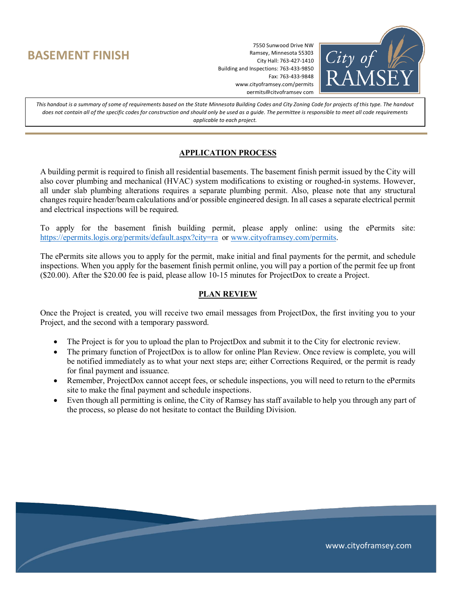## **BASEMENT FINISH**

7550 Sunwood Drive NW Ramsey, Minnesota 55303 City Hall: 763-427-1410 Building and Inspections: 763-433-9850 Fax: 763-433-9848 www.cityoframsey.com/permits permits@cityoframsey com



*This handout is a summary of some of requirements based on the State Minnesota Building Codes and City Zoning Code for projects of this type. The handout does not contain all of the specific codes for construction and should only be used as a guide. The permittee is responsible to meet all code requirements applicable to each project.*

#### **APPLICATION PROCESS**

A building permit is required to finish all residential basements. The basement finish permit issued by the City will also cover plumbing and mechanical (HVAC) system modifications to existing or roughed-in systems. However, all under slab plumbing alterations requires a separate plumbing permit. Also, please note that any structural changes require header/beam calculations and/or possible engineered design. In all cases a separate electrical permit and electrical inspections will be required.

To apply for the basement finish building permit, please apply online: using the ePermits site: <https://epermits.logis.org/permits/default.aspx?city=ra>or [www.cityoframsey.com/permits.](http://www.cityoframsey.com/permits)

The ePermits site allows you to apply for the permit, make initial and final payments for the permit, and schedule inspections. When you apply for the basement finish permit online, you will pay a portion of the permit fee up front (\$20.00). After the \$20.00 fee is paid, please allow 10-15 minutes for ProjectDox to create a Project.

#### **PLAN REVIEW**

Once the Project is created, you will receive two email messages from ProjectDox, the first inviting you to your Project, and the second with a temporary password.

- The Project is for you to upload the plan to ProjectDox and submit it to the City for electronic review.
- The primary function of ProjectDox is to allow for online Plan Review. Once review is complete, you will be notified immediately as to what your next steps are; either Corrections Required, or the permit is ready for final payment and issuance.
- Remember, ProjectDox cannot accept fees, or schedule inspections, you will need to return to the ePermits site to make the final payment and schedule inspections.
- Even though all permitting is online, the City of Ramsey has staff available to help you through any part of the process, so please do not hesitate to contact the Building Division.

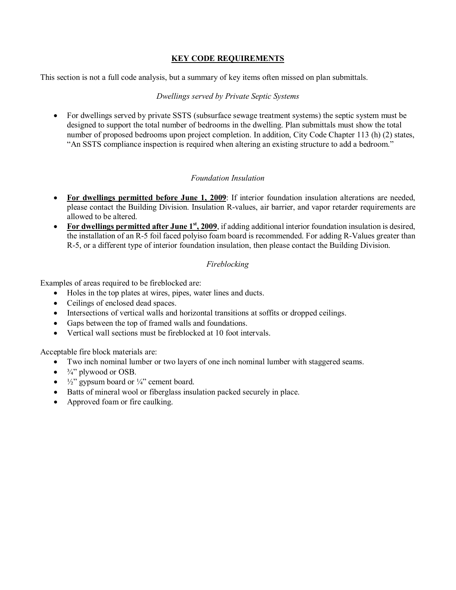#### **KEY CODE REQUIREMENTS**

This section is not a full code analysis, but a summary of key items often missed on plan submittals.

#### *Dwellings served by Private Septic Systems*

• For dwellings served by private SSTS (subsurface sewage treatment systems) the septic system must be designed to support the total number of bedrooms in the dwelling. Plan submittals must show the total number of proposed bedrooms upon project completion. In addition, City Code Chapter 113 (h) (2) states, "An SSTS compliance inspection is required when altering an existing structure to add a bedroom."

#### *Foundation Insulation*

- **For dwellings permitted before June 1, 2009**: If interior foundation insulation alterations are needed, please contact the Building Division. Insulation R-values, air barrier, and vapor retarder requirements are allowed to be altered.
- **For dwellings permitted after June 1st, 2009**, if adding additional interior foundation insulation is desired, the installation of an R-5 foil faced polyiso foam board is recommended. For adding R-Values greater than R-5, or a different type of interior foundation insulation, then please contact the Building Division.

### *Fireblocking*

Examples of areas required to be fireblocked are:

- Holes in the top plates at wires, pipes, water lines and ducts.
- Ceilings of enclosed dead spaces.
- Intersections of vertical walls and horizontal transitions at soffits or dropped ceilings.
- Gaps between the top of framed walls and foundations.
- Vertical wall sections must be fireblocked at 10 foot intervals.

Acceptable fire block materials are:

- Two inch nominal lumber or two layers of one inch nominal lumber with staggered seams.
- $\bullet$   $\frac{3}{4}$ " plywood or OSB.
- $\frac{1}{2}$ " gypsum board or  $\frac{1}{4}$ " cement board.
- Batts of mineral wool or fiberglass insulation packed securely in place.
- Approved foam or fire caulking.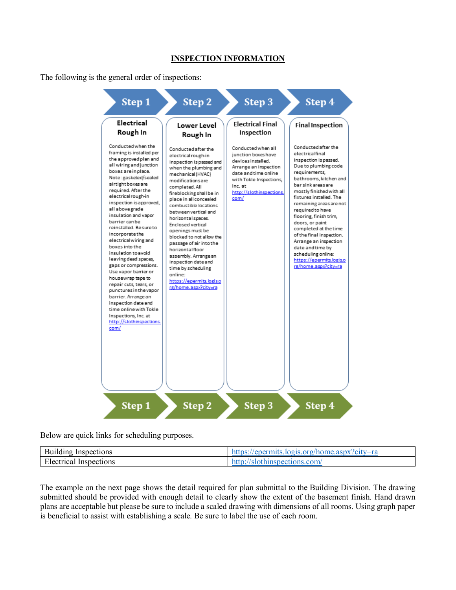#### **INSPECTION INFORMATION**

The following is the general order of inspections:



Below are quick links for scheduling purposes.

| <b>Building Inspections</b> | https://epermits.logis.org/home.aspx?city=ra |
|-----------------------------|----------------------------------------------|
| Electrical Inspections      | http://slothinspections.com/                 |

The example on the next page shows the detail required for plan submittal to the Building Division. The drawing submitted should be provided with enough detail to clearly show the extent of the basement finish. Hand drawn plans are acceptable but please be sure to include a scaled drawing with dimensions of all rooms. Using graph paper is beneficial to assist with establishing a scale. Be sure to label the use of each room.